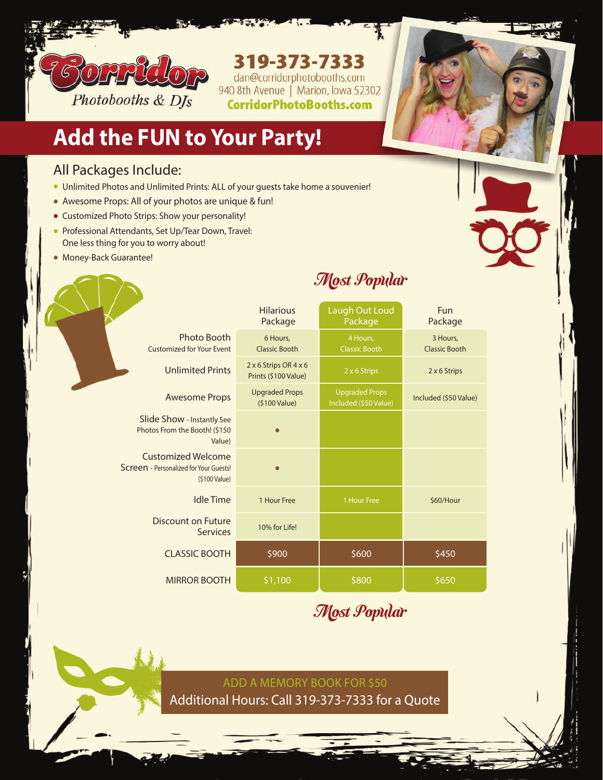

## 319-373-7333

dan@corridorphotobooths.com<br>940 8th Avenue | Marion, Iowa 52302 **CorridorPhotoBooths.com** 

## **Add the FUN to Your Party!**

#### All Packages Include:

- Unlimited Photos and Unlimited Prints: ALL of your guests take home a souvenier!
- Awesome Props: All of your photos are unique & fun!
- Customized Photo Strips: Show your personality!
- Professional Attendants, Set Up/Tear Down, Travel: One less thing for you to worry about!
- Money-Back Guarantee!

### Most Popular

|                                                                               | <b>Hilarious</b><br>Package                   | Laugh Out Loud<br>Package                      | Fun<br>Package                   |
|-------------------------------------------------------------------------------|-----------------------------------------------|------------------------------------------------|----------------------------------|
| <b>Photo Booth</b><br><b>Customized for Your Event</b>                        | 6 Hours,<br><b>Classic Booth</b>              | 4 Hours,<br><b>Classic Booth</b>               | 3 Hours,<br><b>Classic Booth</b> |
| <b>Unlimited Prints</b>                                                       | 2 x 6 Strips OR 4 x 6<br>Prints (\$100 Value) | 2 x 6 Strips                                   | 2 x 6 Strips                     |
| <b>Awesome Props</b>                                                          | <b>Upgraded Props</b><br>(\$100 Value)        | <b>Upgraded Props</b><br>Included (\$50 Value) | Included (\$50 Value)            |
| Slide Show - Instantly See<br>Photos From the Booth! (\$150)<br>Value)        |                                               |                                                |                                  |
| Customized Welcome<br>Screen - Personalized for Your Guests!<br>(\$100 Value) |                                               |                                                |                                  |
| <b>Idle Time</b>                                                              | 1 Hour Free                                   | 1 Hour Free                                    | \$60/Hour                        |
| Discount on Future<br><b>Services</b>                                         | 10% for Life!                                 |                                                |                                  |
| <b>CLASSIC BOOTH</b>                                                          | \$900                                         | \$600                                          | \$450                            |
| <b>MIRROR BOOTH</b>                                                           | \$1,100                                       | \$800                                          | \$650                            |

Most Popular

ADD A MEMORY BOOK FOR \$50 Additional Hours: Call 319-373-7333 for a Quote